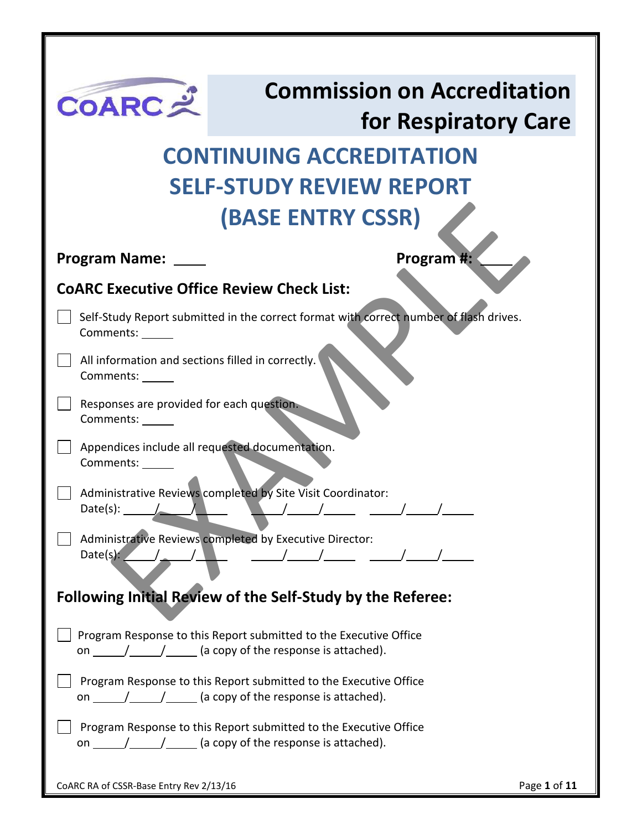| <b>COARC 之</b>                                                        | <b>Commission on Accreditation</b>                                                                                                                                                                                                                                                                                                                                                                                                                                                       |                      |
|-----------------------------------------------------------------------|------------------------------------------------------------------------------------------------------------------------------------------------------------------------------------------------------------------------------------------------------------------------------------------------------------------------------------------------------------------------------------------------------------------------------------------------------------------------------------------|----------------------|
|                                                                       |                                                                                                                                                                                                                                                                                                                                                                                                                                                                                          | for Respiratory Care |
|                                                                       | <b>CONTINUING ACCREDITATION</b>                                                                                                                                                                                                                                                                                                                                                                                                                                                          |                      |
|                                                                       | <b>SELF-STUDY REVIEW REPORT</b>                                                                                                                                                                                                                                                                                                                                                                                                                                                          |                      |
|                                                                       | <b>(BASE ENTRY CSSR)</b>                                                                                                                                                                                                                                                                                                                                                                                                                                                                 |                      |
|                                                                       |                                                                                                                                                                                                                                                                                                                                                                                                                                                                                          |                      |
| <b>Program Name:</b>                                                  |                                                                                                                                                                                                                                                                                                                                                                                                                                                                                          | Program #:           |
| <b>COARC Executive Office Review Check List:</b>                      |                                                                                                                                                                                                                                                                                                                                                                                                                                                                                          |                      |
| Comments:                                                             | Self-Study Report submitted in the correct format with correct number of flash drives.                                                                                                                                                                                                                                                                                                                                                                                                   |                      |
| All information and sections filled in correctly.<br>Comments: ______ |                                                                                                                                                                                                                                                                                                                                                                                                                                                                                          |                      |
| Responses are provided for each question.<br>Comments: ___            |                                                                                                                                                                                                                                                                                                                                                                                                                                                                                          |                      |
| Appendices include all requested documentation.<br>Comments:          |                                                                                                                                                                                                                                                                                                                                                                                                                                                                                          |                      |
| Date(s):                                                              | Administrative Reviews completed by Site Visit Coordinator:                                                                                                                                                                                                                                                                                                                                                                                                                              |                      |
|                                                                       | Administrative Reviews completed by Executive Director:<br>Date(s): $\sqrt{2\pi}$ , $\sqrt{2\pi}$ , $\sqrt{2\pi}$ , $\sqrt{2\pi}$ , $\sqrt{2\pi}$ , $\sqrt{2\pi}$ , $\sqrt{2\pi}$                                                                                                                                                                                                                                                                                                        |                      |
|                                                                       | Following Initial Review of the Self-Study by the Referee:                                                                                                                                                                                                                                                                                                                                                                                                                               |                      |
|                                                                       | Program Response to this Report submitted to the Executive Office                                                                                                                                                                                                                                                                                                                                                                                                                        |                      |
|                                                                       | Program Response to this Report submitted to the Executive Office<br>on $\frac{1}{\sqrt{1-\frac{1}{1-\frac{1}{1-\frac{1}{1-\frac{1}{1-\frac{1}{1-\frac{1}{1-\frac{1}{1-\frac{1}{1-\frac{1}{1-\frac{1}{1-\frac{1}{1-\frac{1}{1-\frac{1}{1-\frac{1}{1-\frac{1}{1-\frac{1}{1-\frac{1}{1-\frac{1}{1-\frac{1}{1-\frac{1}{1-\frac{1}{1-\frac{1}{1-\frac{1}{1-\frac{1}{1-\frac{1}{1-\frac{1}{1-\frac{1}{1-\frac{1}{1-\frac{1}{1-\frac{1}{1-\frac{1}{1-\frac{1}{1-\frac{1}{1-\frac{1}{1-\frac{1$ |                      |
|                                                                       | Program Response to this Report submitted to the Executive Office<br>on $\frac{1}{\sqrt{1-\frac{1}{1-\frac{1}{1-\frac{1}{1-\frac{1}{1-\frac{1}{1-\frac{1}{1-\frac{1}{1-\frac{1}{1-\frac{1}{1-\frac{1}{1-\frac{1}{1-\frac{1}{1-\frac{1}{1-\frac{1}{1-\frac{1}{1-\frac{1}{1-\frac{1}{1-\frac{1}{1-\frac{1}{1-\frac{1}{1-\frac{1}{1-\frac{1}{1-\frac{1}{1-\frac{1}{1-\frac{1}{1-\frac{1}{1-\frac{1}{1-\frac{1}{1-\frac{1}{1-\frac{1}{1-\frac{1}{1-\frac{1}{1-\frac{1}{1-\frac{1}{1-\frac{1$ |                      |
| CoARC RA of CSSR-Base Entry Rev 2/13/16                               |                                                                                                                                                                                                                                                                                                                                                                                                                                                                                          | Page 1 of 11         |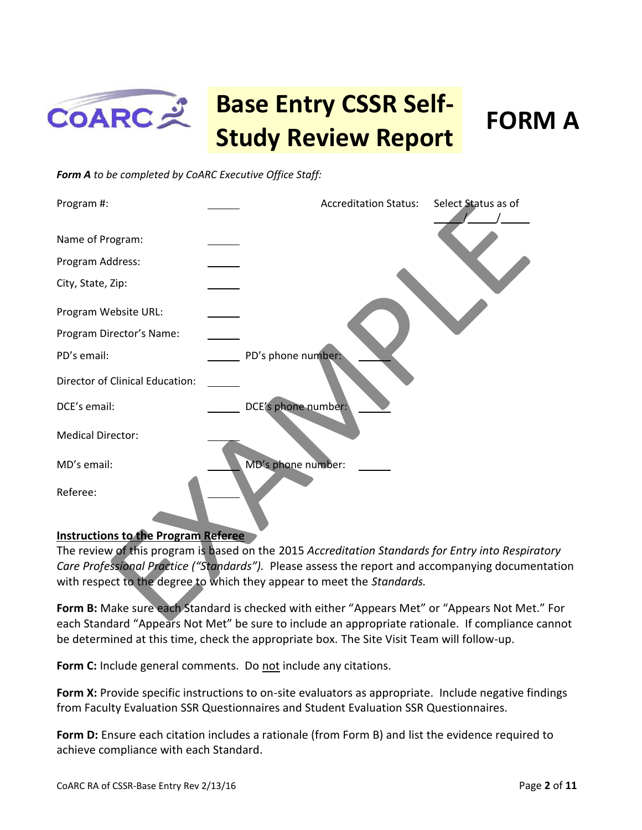

### **Base Entry CSSR Self-Study Review Report FORM A**

*Form A to be completed by CoARC Executive Office Staff:* 



#### **Instructions to the Program Referee**

The review of this program is based on the 2015 *Accreditation Standards for Entry into Respiratory Care Professional Practice ("Standards").* Please assess the report and accompanying documentation with respect to the degree to which they appear to meet the *Standards.* 

**Form B:** Make sure each Standard is checked with either "Appears Met" or "Appears Not Met." For each Standard "Appears Not Met" be sure to include an appropriate rationale. If compliance cannot be determined at this time, check the appropriate box. The Site Visit Team will follow-up.

**Form C:** Include general comments. Do not include any citations.

**Form X:** Provide specific instructions to on-site evaluators as appropriate. Include negative findings from Faculty Evaluation SSR Questionnaires and Student Evaluation SSR Questionnaires.

**Form D:** Ensure each citation includes a rationale (from Form B) and list the evidence required to achieve compliance with each Standard.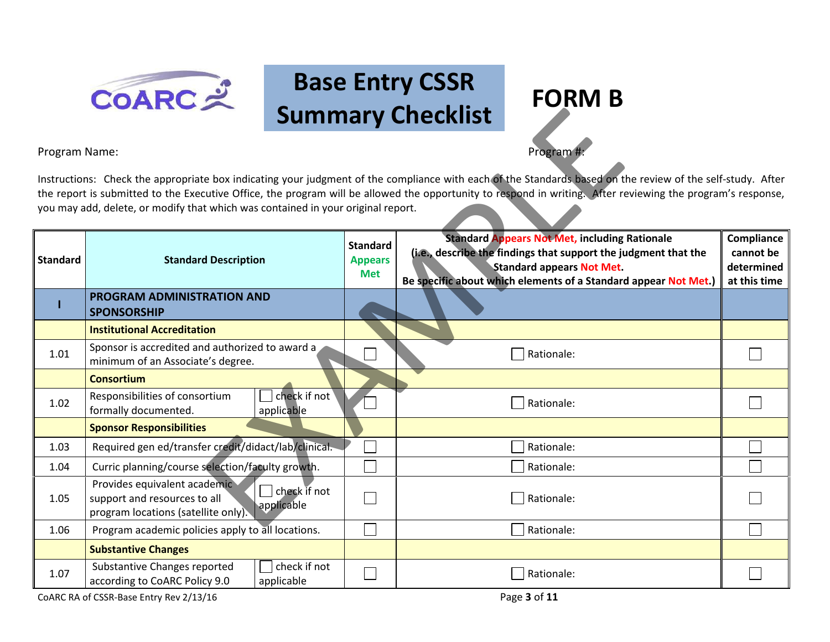

## **Base Entry CSSR Summary Checklist FORM B**

### Program Name: Program #: Program #: Program #: Program #: Program #: Program #: Program #: Program #: Program #: Program #: Program #: Program #: Program #: Program #: Program #: Program #: Program #: Program #: Program #:

| <b>Summary Checklist</b> |                                                                                                                                                                                                                                                                                                                                                                                                               |                                                 |                                                                                                                                                                                                                                |                                                       |  |
|--------------------------|---------------------------------------------------------------------------------------------------------------------------------------------------------------------------------------------------------------------------------------------------------------------------------------------------------------------------------------------------------------------------------------------------------------|-------------------------------------------------|--------------------------------------------------------------------------------------------------------------------------------------------------------------------------------------------------------------------------------|-------------------------------------------------------|--|
|                          | Program Name:<br>Program #                                                                                                                                                                                                                                                                                                                                                                                    |                                                 |                                                                                                                                                                                                                                |                                                       |  |
|                          | Instructions: Check the appropriate box indicating your judgment of the compliance with each of the Standards based on the review of the self-study. After<br>the report is submitted to the Executive Office, the program will be allowed the opportunity to respond in writing. After reviewing the program's response,<br>you may add, delete, or modify that which was contained in your original report. |                                                 |                                                                                                                                                                                                                                |                                                       |  |
| <b>Standard</b>          | <b>Standard Description</b>                                                                                                                                                                                                                                                                                                                                                                                   | <b>Standard</b><br><b>Appears</b><br><b>Met</b> | <b>Standard Appears Not Met, including Rationale</b><br>(i.e., describe the findings that support the judgment that the<br><b>Standard appears Not Met.</b><br>Be specific about which elements of a Standard appear Not Met.) | Compliance<br>cannot be<br>determined<br>at this time |  |
|                          | PROGRAM ADMINISTRATION AND<br><b>SPONSORSHIP</b>                                                                                                                                                                                                                                                                                                                                                              |                                                 |                                                                                                                                                                                                                                |                                                       |  |
|                          | <b>Institutional Accreditation</b>                                                                                                                                                                                                                                                                                                                                                                            |                                                 |                                                                                                                                                                                                                                |                                                       |  |
| 1.01                     | Sponsor is accredited and authorized to award a<br>minimum of an Associate's degree.                                                                                                                                                                                                                                                                                                                          |                                                 | Rationale:                                                                                                                                                                                                                     |                                                       |  |
|                          | <b>Consortium</b>                                                                                                                                                                                                                                                                                                                                                                                             |                                                 |                                                                                                                                                                                                                                |                                                       |  |
| 1.02                     | check if not<br>Responsibilities of consortium<br>formally documented.<br>applicable                                                                                                                                                                                                                                                                                                                          |                                                 | Rationale:                                                                                                                                                                                                                     |                                                       |  |
|                          | <b>Sponsor Responsibilities</b>                                                                                                                                                                                                                                                                                                                                                                               |                                                 |                                                                                                                                                                                                                                |                                                       |  |
| 1.03                     | Required gen ed/transfer credit/didact/lab/clinical.                                                                                                                                                                                                                                                                                                                                                          |                                                 | Rationale:                                                                                                                                                                                                                     |                                                       |  |
| 1.04                     | Curric planning/course selection/faculty growth.                                                                                                                                                                                                                                                                                                                                                              |                                                 | Rationale:                                                                                                                                                                                                                     |                                                       |  |
| 1.05                     | Provides equivalent academic<br>check if not<br>support and resources to all<br>applicable<br>program locations (satellite only).                                                                                                                                                                                                                                                                             |                                                 | Rationale:                                                                                                                                                                                                                     |                                                       |  |
| 1.06                     | Program academic policies apply to all locations.                                                                                                                                                                                                                                                                                                                                                             |                                                 | Rationale:                                                                                                                                                                                                                     |                                                       |  |
|                          | <b>Substantive Changes</b>                                                                                                                                                                                                                                                                                                                                                                                    |                                                 |                                                                                                                                                                                                                                |                                                       |  |
| 1.07                     | check if not<br>Substantive Changes reported<br>according to CoARC Policy 9.0<br>applicable                                                                                                                                                                                                                                                                                                                   |                                                 | Rationale:                                                                                                                                                                                                                     |                                                       |  |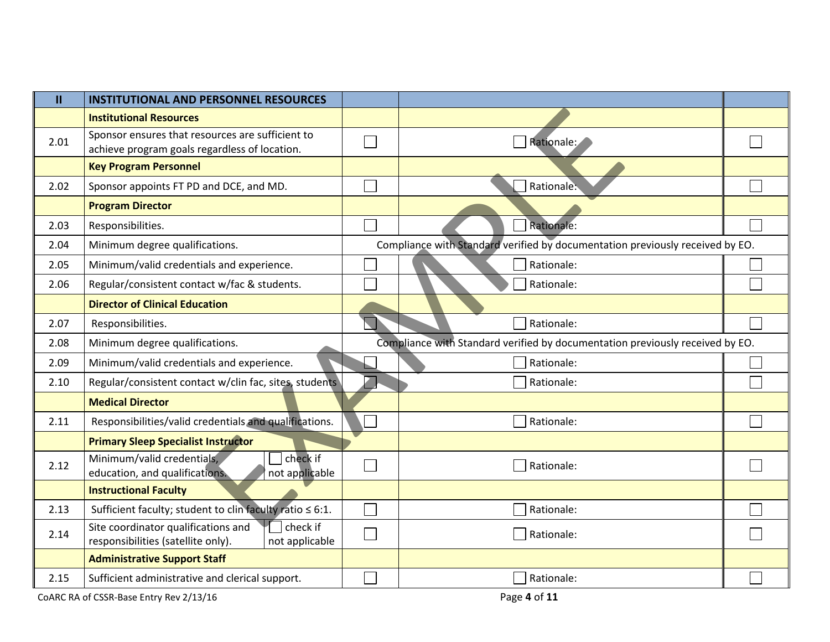| $\mathbf{II}$ | <b>INSTITUTIONAL AND PERSONNEL RESOURCES</b>                                                            |                                                                               |  |
|---------------|---------------------------------------------------------------------------------------------------------|-------------------------------------------------------------------------------|--|
|               | <b>Institutional Resources</b>                                                                          |                                                                               |  |
| 2.01          | Sponsor ensures that resources are sufficient to<br>achieve program goals regardless of location.       | Rationale:                                                                    |  |
|               | <b>Key Program Personnel</b>                                                                            |                                                                               |  |
| 2.02          | Sponsor appoints FT PD and DCE, and MD.                                                                 | Rationale:                                                                    |  |
|               | <b>Program Director</b>                                                                                 |                                                                               |  |
| 2.03          | Responsibilities.                                                                                       | Rationale:                                                                    |  |
| 2.04          | Minimum degree qualifications.                                                                          | Compliance with Standard verified by documentation previously received by EO. |  |
| 2.05          | Minimum/valid credentials and experience.                                                               | Rationale:                                                                    |  |
| 2.06          | Regular/consistent contact w/fac & students.                                                            | Rationale:                                                                    |  |
|               | <b>Director of Clinical Education</b>                                                                   |                                                                               |  |
| 2.07          | Responsibilities.                                                                                       | Rationale:                                                                    |  |
| 2.08          | Minimum degree qualifications.                                                                          | Compliance with Standard verified by documentation previously received by EO. |  |
| 2.09          | Minimum/valid credentials and experience.                                                               | Rationale:                                                                    |  |
| 2.10          | Regular/consistent contact w/clin fac, sites, students                                                  | Rationale:                                                                    |  |
|               | <b>Medical Director</b>                                                                                 |                                                                               |  |
| 2.11          | Responsibilities/valid credentials and qualifications.                                                  | Rationale:                                                                    |  |
|               | <b>Primary Sleep Specialist Instructor</b>                                                              |                                                                               |  |
| 2.12          | check if<br>Minimum/valid credentials,<br>education, and qualifications.<br>not applicable              | Rationale:                                                                    |  |
|               | <b>Instructional Faculty</b>                                                                            |                                                                               |  |
| 2.13          | Sufficient faculty; student to clin faculty ratio $\leq 6:1$ .                                          | Rationale:                                                                    |  |
| 2.14          | check if<br>Site coordinator qualifications and<br>responsibilities (satellite only).<br>not applicable | Rationale:                                                                    |  |
|               | <b>Administrative Support Staff</b>                                                                     |                                                                               |  |
| 2.15          | Sufficient administrative and clerical support.                                                         | Rationale:                                                                    |  |

COARC RA of CSSR-Base Entry Rev 2/13/16 Page 4 of 11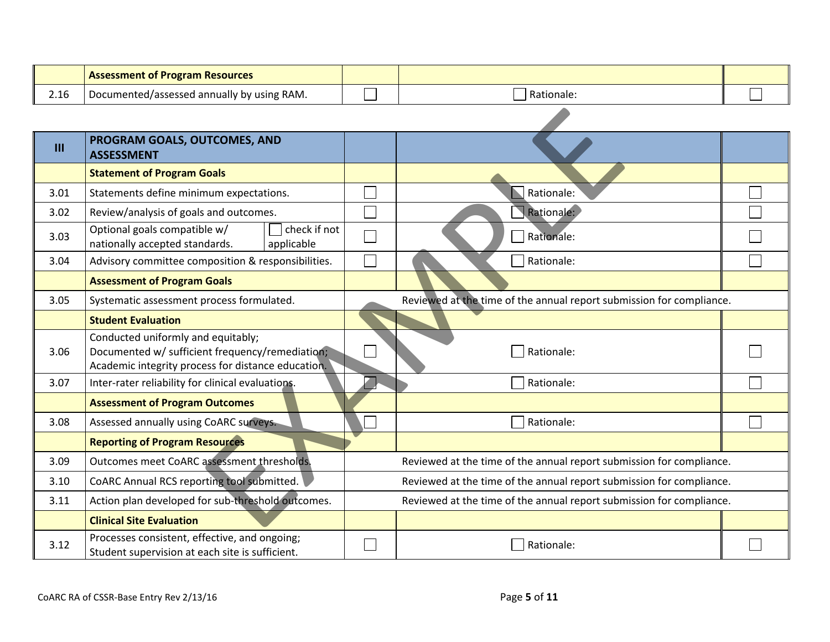|                | <b>Assessment of Program Resources</b>                                                                                                      |                                                                      |                                                                      |  |  |
|----------------|---------------------------------------------------------------------------------------------------------------------------------------------|----------------------------------------------------------------------|----------------------------------------------------------------------|--|--|
| 2.16           | Documented/assessed annually by using RAM.                                                                                                  |                                                                      | Rationale:                                                           |  |  |
|                |                                                                                                                                             |                                                                      |                                                                      |  |  |
| $\mathbf{III}$ | PROGRAM GOALS, OUTCOMES, AND<br><b>ASSESSMENT</b>                                                                                           |                                                                      |                                                                      |  |  |
|                | <b>Statement of Program Goals</b>                                                                                                           |                                                                      |                                                                      |  |  |
| 3.01           | Statements define minimum expectations.                                                                                                     |                                                                      | Rationale:                                                           |  |  |
| 3.02           | Review/analysis of goals and outcomes.                                                                                                      |                                                                      | Rationale:                                                           |  |  |
| 3.03           | Optional goals compatible w/<br>check if not<br>nationally accepted standards.<br>applicable                                                |                                                                      | Rationale:                                                           |  |  |
| 3.04           | Advisory committee composition & responsibilities.                                                                                          |                                                                      | Rationale:                                                           |  |  |
|                | <b>Assessment of Program Goals</b>                                                                                                          |                                                                      |                                                                      |  |  |
| 3.05           | Systematic assessment process formulated.                                                                                                   |                                                                      | Reviewed at the time of the annual report submission for compliance. |  |  |
|                | <b>Student Evaluation</b>                                                                                                                   |                                                                      |                                                                      |  |  |
| 3.06           | Conducted uniformly and equitably;<br>Documented w/ sufficient frequency/remediation;<br>Academic integrity process for distance education. |                                                                      | Rationale:                                                           |  |  |
| 3.07           | Inter-rater reliability for clinical evaluations.                                                                                           |                                                                      | Rationale:                                                           |  |  |
|                | <b>Assessment of Program Outcomes</b>                                                                                                       |                                                                      |                                                                      |  |  |
| 3.08           | Assessed annually using CoARC surveys.                                                                                                      |                                                                      | Rationale:                                                           |  |  |
|                | <b>Reporting of Program Resources</b>                                                                                                       |                                                                      |                                                                      |  |  |
| 3.09           | Outcomes meet CoARC assessment thresholds.                                                                                                  | Reviewed at the time of the annual report submission for compliance. |                                                                      |  |  |
| 3.10           | CoARC Annual RCS reporting tool submitted.                                                                                                  | Reviewed at the time of the annual report submission for compliance. |                                                                      |  |  |
| 3.11           | Action plan developed for sub-threshold outcomes.                                                                                           | Reviewed at the time of the annual report submission for compliance. |                                                                      |  |  |
|                | <b>Clinical Site Evaluation</b>                                                                                                             |                                                                      |                                                                      |  |  |
| 3.12           | Processes consistent, effective, and ongoing;<br>Student supervision at each site is sufficient.                                            |                                                                      | Rationale:                                                           |  |  |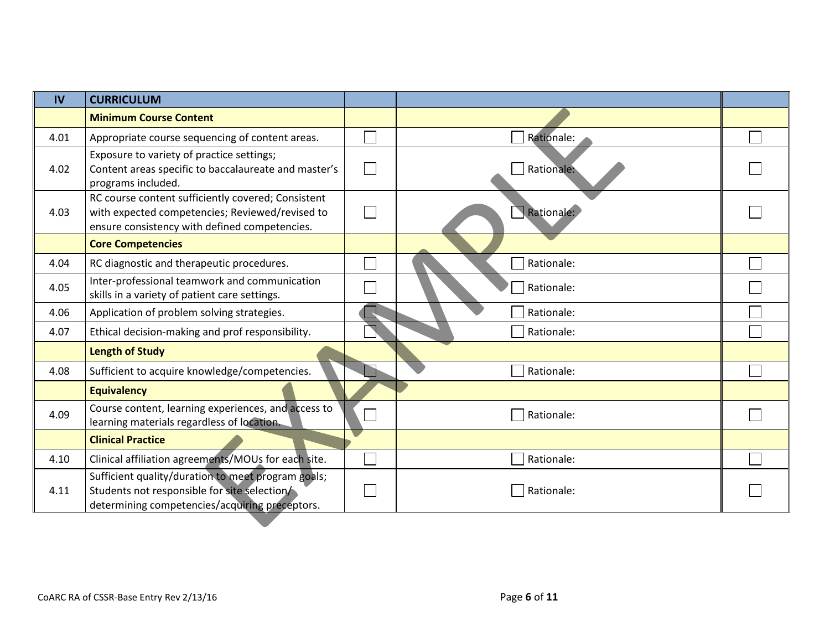| IV   | <b>CURRICULUM</b>                                                                                                                                      |              |            |  |
|------|--------------------------------------------------------------------------------------------------------------------------------------------------------|--------------|------------|--|
|      | <b>Minimum Course Content</b>                                                                                                                          |              |            |  |
| 4.01 | Appropriate course sequencing of content areas.                                                                                                        |              | Rationale: |  |
| 4.02 | Exposure to variety of practice settings;<br>Content areas specific to baccalaureate and master's<br>programs included.                                | $\mathbf{I}$ | Rationale: |  |
| 4.03 | RC course content sufficiently covered; Consistent<br>with expected competencies; Reviewed/revised to<br>ensure consistency with defined competencies. |              | Rationale: |  |
|      | <b>Core Competencies</b>                                                                                                                               |              |            |  |
| 4.04 | RC diagnostic and therapeutic procedures.                                                                                                              |              | Rationale: |  |
| 4.05 | Inter-professional teamwork and communication<br>skills in a variety of patient care settings.                                                         |              | Rationale: |  |
| 4.06 | Application of problem solving strategies.                                                                                                             |              | Rationale: |  |
| 4.07 | Ethical decision-making and prof responsibility.                                                                                                       |              | Rationale: |  |
|      | <b>Length of Study</b>                                                                                                                                 |              |            |  |
| 4.08 | Sufficient to acquire knowledge/competencies.                                                                                                          |              | Rationale: |  |
|      | <b>Equivalency</b>                                                                                                                                     |              |            |  |
| 4.09 | Course content, learning experiences, and access to<br>learning materials regardless of location.                                                      | ┓            | Rationale: |  |
|      | <b>Clinical Practice</b>                                                                                                                               |              |            |  |
| 4.10 | Clinical affiliation agreements/MOUs for each site.                                                                                                    |              | Rationale: |  |
| 4.11 | Sufficient quality/duration to meet program goals;<br>Students not responsible for site selection/<br>determining competencies/acquiring preceptors.   |              | Rationale: |  |
|      |                                                                                                                                                        |              |            |  |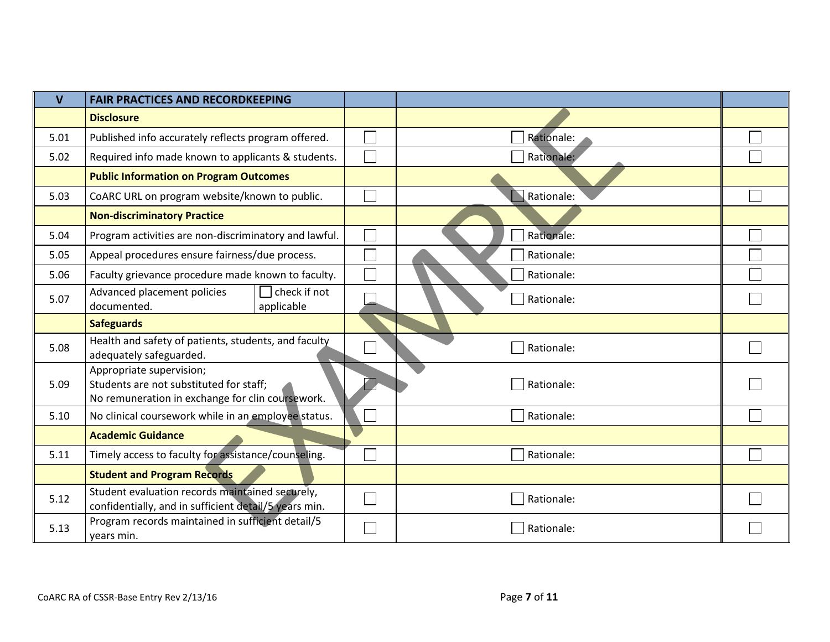| $\overline{\mathsf{V}}$ | <b>FAIR PRACTICES AND RECORDKEEPING</b>                                                                                 |            |  |
|-------------------------|-------------------------------------------------------------------------------------------------------------------------|------------|--|
|                         | <b>Disclosure</b>                                                                                                       |            |  |
| 5.01                    | Published info accurately reflects program offered.                                                                     | Rationale: |  |
| 5.02                    | Required info made known to applicants & students.                                                                      | Rationale: |  |
|                         | <b>Public Information on Program Outcomes</b>                                                                           |            |  |
| 5.03                    | CoARC URL on program website/known to public.                                                                           | Rationale: |  |
|                         | <b>Non-discriminatory Practice</b>                                                                                      |            |  |
| 5.04                    | Program activities are non-discriminatory and lawful.                                                                   | Rationale: |  |
| 5.05                    | Appeal procedures ensure fairness/due process.                                                                          | Rationale: |  |
| 5.06                    | Faculty grievance procedure made known to faculty.                                                                      | Rationale: |  |
| 5.07                    | check if not<br>Advanced placement policies<br>documented.<br>applicable                                                | Rationale: |  |
|                         | <b>Safeguards</b>                                                                                                       |            |  |
| 5.08                    | Health and safety of patients, students, and faculty<br>adequately safeguarded.                                         | Rationale: |  |
| 5.09                    | Appropriate supervision;<br>Students are not substituted for staff;<br>No remuneration in exchange for clin coursework. | Rationale: |  |
| 5.10                    | No clinical coursework while in an employee status.                                                                     | Rationale: |  |
|                         | <b>Academic Guidance</b>                                                                                                |            |  |
| 5.11                    | Timely access to faculty for assistance/counseling.                                                                     | Rationale: |  |
|                         | <b>Student and Program Records</b>                                                                                      |            |  |
| 5.12                    | Student evaluation records maintained securely,<br>confidentially, and in sufficient detail/5 years min.                | Rationale: |  |
| 5.13                    | Program records maintained in sufficient detail/5<br>years min.                                                         | Rationale: |  |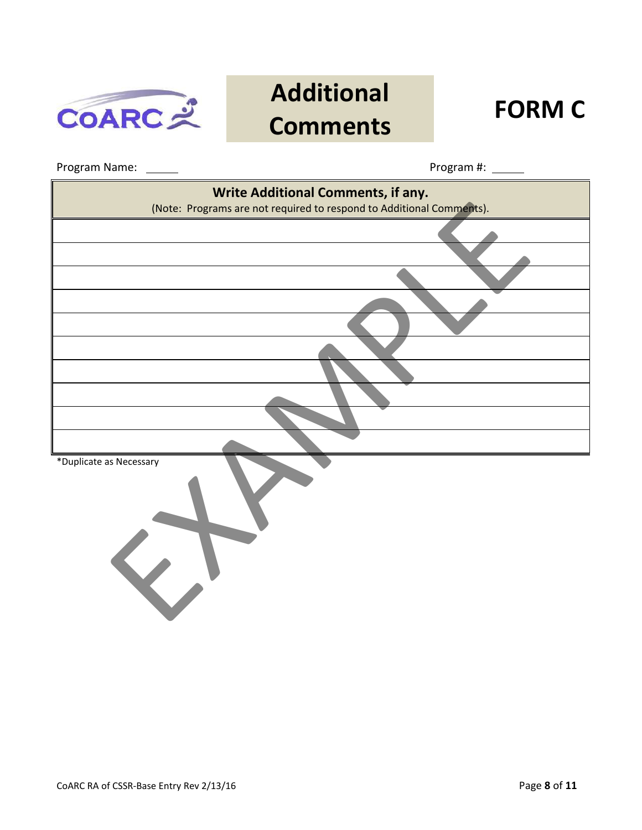

# **Additional Comments FORM C**

Program Name: Program #:

| Write Additional Comments, if any.                                   |
|----------------------------------------------------------------------|
| (Note: Programs are not required to respond to Additional Comments). |
|                                                                      |
|                                                                      |
|                                                                      |
|                                                                      |
|                                                                      |
|                                                                      |
|                                                                      |
|                                                                      |
| *Duplicate as Necessary<br>$\left\langle \right\rangle$              |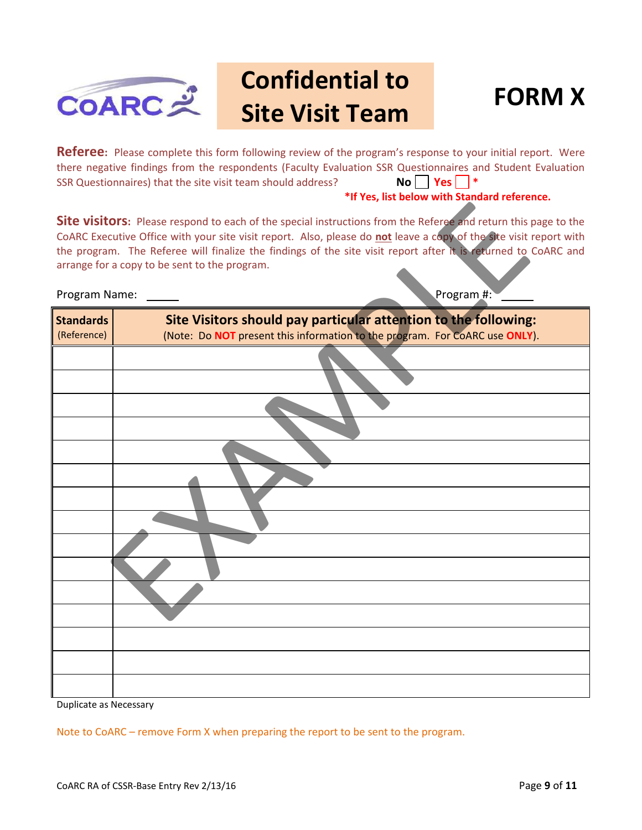

## **Confidential to Site Visit Team FORM X**



**Referee:** Please complete this form following review of the program's response to your initial report. Were there negative findings from the respondents (Faculty Evaluation SSR Questionnaires and Student Evaluation SSR Questionnaires) that the site visit team should address? **No Yes |** 

#### **\*If Yes, list below with Standard reference.**

#### Program Name: The Contract of the Program #:

| <b>Site visitors:</b> Please respond to each of the special instructions from the Referee and return this page to the<br>CoARC Executive Office with your site visit report. Also, please do not leave a copy of the site visit report with<br>the program. The Referee will finalize the findings of the site visit report after it is returned to CoARC and<br>arrange for a copy to be sent to the program.<br>Program #:<br>Program Name: |                                                                                                                                                |  |  |  |  |
|-----------------------------------------------------------------------------------------------------------------------------------------------------------------------------------------------------------------------------------------------------------------------------------------------------------------------------------------------------------------------------------------------------------------------------------------------|------------------------------------------------------------------------------------------------------------------------------------------------|--|--|--|--|
| <b>Standards</b><br>(Reference)                                                                                                                                                                                                                                                                                                                                                                                                               | Site Visitors should pay particular attention to the following:<br>(Note: Do NOT present this information to the program. For CoARC use ONLY). |  |  |  |  |
|                                                                                                                                                                                                                                                                                                                                                                                                                                               |                                                                                                                                                |  |  |  |  |
|                                                                                                                                                                                                                                                                                                                                                                                                                                               |                                                                                                                                                |  |  |  |  |
|                                                                                                                                                                                                                                                                                                                                                                                                                                               |                                                                                                                                                |  |  |  |  |
|                                                                                                                                                                                                                                                                                                                                                                                                                                               |                                                                                                                                                |  |  |  |  |
|                                                                                                                                                                                                                                                                                                                                                                                                                                               |                                                                                                                                                |  |  |  |  |
|                                                                                                                                                                                                                                                                                                                                                                                                                                               |                                                                                                                                                |  |  |  |  |
|                                                                                                                                                                                                                                                                                                                                                                                                                                               |                                                                                                                                                |  |  |  |  |
|                                                                                                                                                                                                                                                                                                                                                                                                                                               |                                                                                                                                                |  |  |  |  |

Duplicate as Necessary

Note to CoARC – remove Form X when preparing the report to be sent to the program.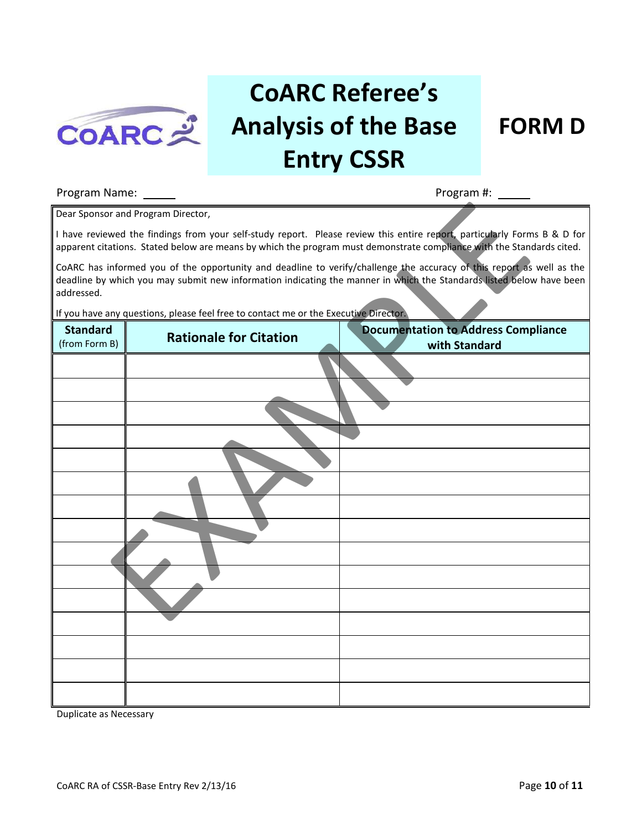

# **CoARC Referee's Analysis of the Base Entry CSSR**

### **FORM D**

#### Program Name: Program #:

|                                  | Dear Sponsor and Program Director,                                                   |                                                                                                                                                                                                                                                   |
|----------------------------------|--------------------------------------------------------------------------------------|---------------------------------------------------------------------------------------------------------------------------------------------------------------------------------------------------------------------------------------------------|
|                                  |                                                                                      | I have reviewed the findings from your self-study report. Please review this entire report, particularly Forms B & D for<br>apparent citations. Stated below are means by which the program must demonstrate compliance with the Standards cited. |
| addressed.                       |                                                                                      | CoARC has informed you of the opportunity and deadline to verify/challenge the accuracy of this report as well as the<br>deadline by which you may submit new information indicating the manner in which the Standards listed below have been     |
|                                  | If you have any questions, please feel free to contact me or the Executive Director. |                                                                                                                                                                                                                                                   |
| <b>Standard</b><br>(from Form B) | <b>Rationale for Citation</b>                                                        | <b>Documentation to Address Compliance</b><br>with Standard                                                                                                                                                                                       |
|                                  |                                                                                      |                                                                                                                                                                                                                                                   |
|                                  |                                                                                      |                                                                                                                                                                                                                                                   |
|                                  |                                                                                      |                                                                                                                                                                                                                                                   |
|                                  |                                                                                      |                                                                                                                                                                                                                                                   |
|                                  |                                                                                      |                                                                                                                                                                                                                                                   |
|                                  |                                                                                      |                                                                                                                                                                                                                                                   |
|                                  |                                                                                      |                                                                                                                                                                                                                                                   |
|                                  |                                                                                      |                                                                                                                                                                                                                                                   |
|                                  |                                                                                      |                                                                                                                                                                                                                                                   |
|                                  |                                                                                      |                                                                                                                                                                                                                                                   |
|                                  |                                                                                      |                                                                                                                                                                                                                                                   |
|                                  |                                                                                      |                                                                                                                                                                                                                                                   |
|                                  |                                                                                      |                                                                                                                                                                                                                                                   |
|                                  |                                                                                      |                                                                                                                                                                                                                                                   |
|                                  |                                                                                      |                                                                                                                                                                                                                                                   |

Duplicate as Necessary